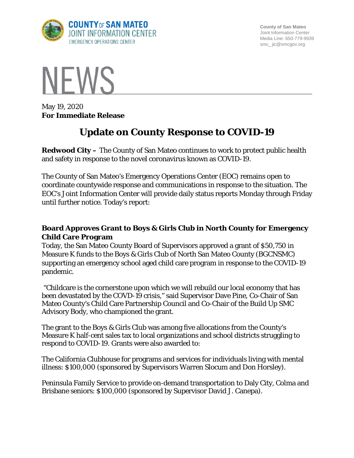

**County of San Mateo** Joint Information Center Media Line: 650-779-9939 smc\_ jic@smcgov.org



May 19, 2020 **For Immediate Release**

## **Update on County Response to COVID-19**

**Redwood City –** The County of San Mateo continues to work to protect public health and safety in response to the novel coronavirus known as COVID-19.

The County of San Mateo's Emergency Operations Center (EOC) remains open to coordinate countywide response and communications in response to the situation. The EOC's Joint Information Center will provide daily status reports Monday through Friday until further notice. Today's report:

## **Board Approves Grant to Boys & Girls Club in North County for Emergency Child Care Program**

Today, the San Mateo County Board of Supervisors approved a grant of \$50,750 in Measure K funds to the Boys & Girls Club of North San Mateo County (BGCNSMC) supporting an emergency school aged child care program in response to the COVID-19 pandemic.

"Childcare is the cornerstone upon which we will rebuild our local economy that has been devastated by the COVD-19 crisis," said Supervisor Dave Pine, Co-Chair of San Mateo County's Child Care Partnership Council and Co-Chair of the Build Up SMC Advisory Body, who championed the grant.

The grant to the Boys & Girls Club was among five allocations from the County's Measure K half-cent sales tax to local organizations and school districts struggling to respond to COVID-19. Grants were also awarded to:

The California Clubhouse for programs and services for individuals living with mental illness: \$100,000 (sponsored by Supervisors Warren Slocum and Don Horsley).

Peninsula Family Service to provide on-demand transportation to Daly City, Colma and Brisbane seniors: \$100,000 (sponsored by Supervisor David J. Canepa).